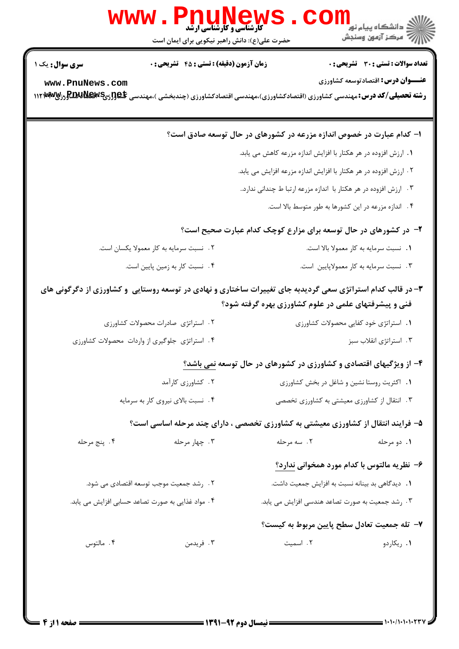|                                                                                                                                                                     | <b>www.PnuNews</b><br>حضرت علی(ع): دانش راهبر نیکویی برای ایمان است |                                                                                                                                                                                                                                                                                 |  |  |
|---------------------------------------------------------------------------------------------------------------------------------------------------------------------|---------------------------------------------------------------------|---------------------------------------------------------------------------------------------------------------------------------------------------------------------------------------------------------------------------------------------------------------------------------|--|--|
| <b>سری سوال :</b> یک ۱<br>www.PnuNews.com                                                                                                                           | <b>زمان آزمون (دقیقه) : تستی : 45 تشریحی : 0</b>                    | تعداد سوالات : تستي : 30 - تشريحي : 0<br><b>عنـــوان درس:</b> اقتصادتوسعه کشاورزی<br><b>رشته تحصیلی/کد درس:</b> مهندسی کشاورزی (اقتصادکشاورزی)،مهندسی اقتصادکشاورزی (چندبخشی )،مهندسی RBU <b>New</b> sی <b>,RBUNews ور</b> MW                                                   |  |  |
|                                                                                                                                                                     |                                                                     | ا– کدام عبارت در خصوص اندازه مزرعه در کشورهای در حال توسعه صادق است؟<br>۱. ارزش افزوده در هر هکتار با افزایش اندازه مزرعه کاهش می یابد.<br>۲. ارزش افزوده در هر هکتار با افزایش اندازه مزرعه افزایش می یابد.<br>۴. ارزش افزوده در هر هکتار با اندازه مزرعه ارتبا ط چندانی ندارد |  |  |
| ۴. اندازه مزرعه در این کشورها به طور متوسط بالا است.                                                                                                                |                                                                     |                                                                                                                                                                                                                                                                                 |  |  |
| ۰۲ نسبت سرمایه به کار معمولا یکسان است.                                                                                                                             | ۴. نسبت کار به زمین پایین است.                                      | ۲- در کشورهای در حال توسعه برای مزارع کوچک کدام عبارت صحیح است؟<br>١. نسبت سرمايه به كار معمولا بالا است.<br>۰۳ نسبت سرمایه به کار معمولاپایین است.                                                                                                                             |  |  |
| ۳- در قالب کدام استراتژی سعی گردیدبه جای تغییرات ساختاری و نهادی در توسعه روستایی ًو کشاورزی از دگرگونی های<br>فنی و پیشرفتهای علمی در علوم کشاورزی بهره گرفته شود؟ |                                                                     |                                                                                                                                                                                                                                                                                 |  |  |
| ۰۴ استراتژی جلوگیری از واردات محصولات کشاورزی                                                                                                                       | ٢. استراتژی صادرات محصولات کشاورزی                                  | ٠١. استراتژى خود كفايى محصولات كشاورزى<br>۰۳ استراتژی انقلاب سبز                                                                                                                                                                                                                |  |  |
|                                                                                                                                                                     |                                                                     | ۴- از ویژگیهای اقتصادی و کشاورزی در کشورهای در حال توسعه نمی باشد؟                                                                                                                                                                                                              |  |  |
|                                                                                                                                                                     | ۰۲ کشاورزی کارآمد<br>۰۴ نسبت بالای نیروی کار به سرمایه              | ٠١. اكثريت روستا نشين و شاغل در بخش كشاورزى<br>۰۳ انتقال از کشاورزی معیشتی به کشاورزی تخصصی                                                                                                                                                                                     |  |  |
|                                                                                                                                                                     |                                                                     | ۵- فرایند انتقال از کشاورزی معیشتی به کشاورزی تخصصی ، دارای چند مرحله اساسی است؟                                                                                                                                                                                                |  |  |
| ۰۴ پنج مرحله                                                                                                                                                        | ۰۳ چهار مرحله                                                       | ۲. سه مرحله<br>۰۱ دو مرحله                                                                                                                                                                                                                                                      |  |  |
| ۲. رشد جمعیت موجب توسعه اقتصادی می شود.<br>۰۴ مواد غذایی به صورت تصاعد حسابی افزایش می یابد.                                                                        |                                                                     | ۶– نظریه مالتوس با کدام مورد همخوانی ندارد؟<br>1. دیدگاهی بد بینانه نسبت به افزایش جمعیت داشت.<br>۰۳ رشد جمعیت به صورت تصاعد هندسی افزایش می یابد.                                                                                                                              |  |  |
| ۰۴ مالتوس                                                                                                                                                           | ۰۳ فریدمن                                                           | ٧- تله جمعیت تعادل سطح پایین مربوط به کیست؟<br>٢. اسميت<br>۰۱ ریکاردو                                                                                                                                                                                                           |  |  |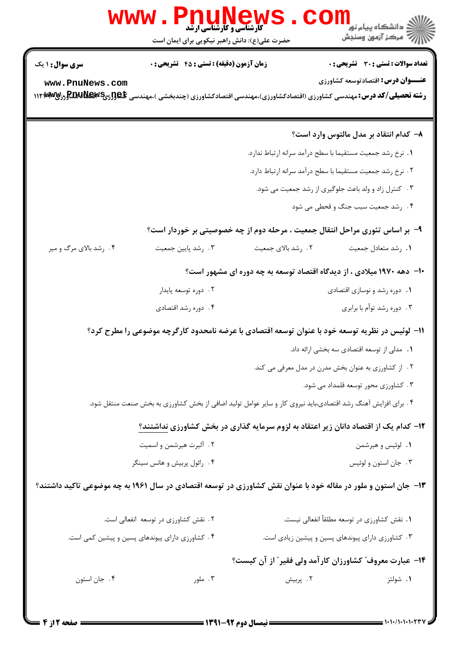| <b>WWW</b>                                                                                                                                                                | Phuney<br><b>کارشناسی و کارشناسی ارشد</b><br>حضرت علی(ع): دانش راهبر نیکویی برای ایمان است                    |                    | ر دانشڪاه پيام نور <mark>−</mark><br>ا∛ مرکز آزمون وسنڊش                     |  |  |
|---------------------------------------------------------------------------------------------------------------------------------------------------------------------------|---------------------------------------------------------------------------------------------------------------|--------------------|------------------------------------------------------------------------------|--|--|
| سری سوال: ۱ یک                                                                                                                                                            | <b>زمان آزمون (دقیقه) : تستی : 45 گشریحی : 0</b>                                                              |                    | <b>تعداد سوالات : تستی : 30 ٪ تشریحی : 0</b>                                 |  |  |
| www.PnuNews.com<br><b>رشته تحصیلی/کد درس: م</b> هندسی کشاورزی (اقتصادکشاورزی)،مهندسی اقتصادکشاورزی (چندبخشی )،مهندسی R <b>BUNEW</b> 5 گروز <b>RBUNE</b> w ۱۱۲۱ <b>w آ</b> |                                                                                                               |                    | <b>عنـــوان درس:</b> اقتصادتوسعه کشاورزی                                     |  |  |
|                                                                                                                                                                           |                                                                                                               |                    | ۸– کدام انتقاد بر مدل مالتوس وارد است؟                                       |  |  |
|                                                                                                                                                                           |                                                                                                               |                    | 1. نرخ رشد جمعیت مستقیما با سطح درآمد سرانه ارتباط ندارد.                    |  |  |
|                                                                                                                                                                           | ٢. نرخ رشد جمعيت مستقيما با سطح درآمد سرانه ارتباط دارد.                                                      |                    |                                                                              |  |  |
|                                                                                                                                                                           | ۰۳ کنترل زاد و ولد باعث جلوگیری از رشد جمعیت می شود.                                                          |                    |                                                                              |  |  |
|                                                                                                                                                                           |                                                                                                               |                    | ۰۴ رشد جمعیت سبب جنگ و قحطی می شود                                           |  |  |
|                                                                                                                                                                           |                                                                                                               |                    | ۹- بر اساس تئوری مراحل انتقال جمعیت ، مرحله دوم از چه خصوصیتی بر خوردار است؟ |  |  |
| ۰۴ رشد بالای مرگ و میر                                                                                                                                                    | ۰۳ رشد پايين جمعيت                                                                                            | ٢. رشد بالاي جمعيت | 1. رشد متعادل جمعيت                                                          |  |  |
|                                                                                                                                                                           | ۱۰- ً دهه ۱۹۷۰ میلادی ، از دیدگاه اقتصاد توسعه به چه دوره ای مشهور است؟                                       |                    |                                                                              |  |  |
|                                                                                                                                                                           | ۰۲ دوره توسعه پایدار                                                                                          |                    | ۰۱ دوره رشد و نوسازی اقتصادی                                                 |  |  |
|                                                                                                                                                                           | ۰۴ دوره رشد اقتصادي                                                                                           |                    | ۰۳ دوره رشد توأم با برابري                                                   |  |  |
|                                                                                                                                                                           | 1۱– لوئیس در نظریه توسعه خود با عنوان توسعه اقتصادی با عرضه نامحدود کارگرچه موضوعی را مطرح کرد؟               |                    |                                                                              |  |  |
|                                                                                                                                                                           |                                                                                                               |                    | ۰۱ مدلی از توسعه اقتصادی سه بخشی ارائه داد.                                  |  |  |
|                                                                                                                                                                           |                                                                                                               |                    | ۰۲ از کشاورزی به عنوان بخش مدرن در مدل معرفی می کند.                         |  |  |
|                                                                                                                                                                           |                                                                                                               |                    | ۰۳ کشاورزی محور توسعه قلمداد می شود.                                         |  |  |
|                                                                                                                                                                           | ۰۴ برای افزایش آهنگ رشد اقتصادی،باید نیروی کار و سایر عوامل تولید اضافی از بخش کشاورزی به بخش صنعت منتقل شود. |                    |                                                                              |  |  |
|                                                                                                                                                                           | ۱۲– کدام یک از اقتصاد دانان زیر اعتقاد به لزوم سرمایه گذاری در بخش کشاورزی نداشتند؟                           |                    |                                                                              |  |  |
|                                                                                                                                                                           | ۲. آلبرت هیرشمن و اسمیت                                                                                       |                    | ۰۱ لوئیس و هیرشمن                                                            |  |  |
|                                                                                                                                                                           | ۰۴ رائول پربیش و هانس سینگر                                                                                   |                    | ۰۳ جان استون و لوئيس                                                         |  |  |
| ۱۳– جان استون و ملور در مقاله خود با عنوان نقش کشاورزی در توسعه اقتصادی در سال ۱۹۶۱ به چه موضوعی تاکید داشتند؟                                                            |                                                                                                               |                    |                                                                              |  |  |
|                                                                                                                                                                           | ۲. نقش کشاورزی در توسعه انفعالی است.                                                                          |                    | ٠١. نقش كشاورزي در توسعه مطلقأ انفعالي نيست.                                 |  |  |
|                                                                                                                                                                           | ۰۴ کشاورزی دارای پیوندهای پسین و پیشین کمی است.                                                               |                    | ۰۳ کشاورزی دارای پیوندهای پسین و پیشین زیادی است.                            |  |  |
|                                                                                                                                                                           | <b>۱۴</b> – عبارت معروف ؒ کشاورزان کارآمد ولی فقیر ؒ از آن کیست؟                                              |                    |                                                                              |  |  |
| ۰۴ جان استون                                                                                                                                                              | ۰۳ ملور                                                                                                       | ٢. پربيش           | ۰۱ شولتز                                                                     |  |  |
|                                                                                                                                                                           |                                                                                                               |                    |                                                                              |  |  |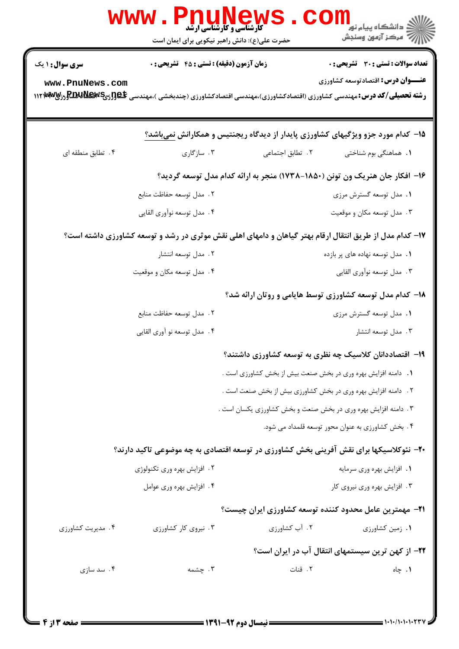|                   | w w w<br><b>کارشناسی و کارشناسی ارشد</b><br>حضرت علی(ع): دانش راهبر نیکویی برای ایمان است                                                |                                                                | ڪ دانشڪاه پيام نور<br><mark>ر</mark> √ مرڪز آزمون وسنڊش                         |  |
|-------------------|------------------------------------------------------------------------------------------------------------------------------------------|----------------------------------------------------------------|---------------------------------------------------------------------------------|--|
| سری سوال: ۱ یک    | <b>زمان آزمون (دقیقه) : تستی : 45 قشریحی : 0</b>                                                                                         |                                                                | <b>تعداد سوالات : تستی : 30 ٪ تشریحی : 0</b>                                    |  |
| www.PnuNews.com   | <b>رشته تحصیلی/کد درس:</b> مهندسی کشاورزی (اقتصادکشاورزی)،مهندسی اقتصادکشاورزی (چندبخشی )،مهندسی RBU <b>New</b> sی <b>,RBUNews ور</b> MW |                                                                | <b>عنـــوان درس:</b> اقتصادتوسعه کشاورزی                                        |  |
|                   |                                                                                                                                          |                                                                | ۱۵– کدام مورد جزو ویژگیهای کشاورزی پایدار از دیدگاه ریجنتیس و همکارانش نمیباشد؟ |  |
| ۰۴ تطابق منطقه ای | ۰۳ سازگاری                                                                                                                               | ٢. تطابق اجتماعي                                               | <b>۱.</b> هماهنگی بوم شناختی                                                    |  |
|                   |                                                                                                                                          |                                                                | ۱۶– افکار جان هنریک ون تونن (۱۸۵۰–۱۷۳۸) منجر به ارائه کدام مدل توسعه گردید؟     |  |
|                   | ٢. مدل توسعه حفاظت منابع                                                                                                                 |                                                                | ۰۱ مدل توسعه گسترش مرزی                                                         |  |
|                   | ۴. مدل توسعه نوآوري القايي                                                                                                               |                                                                | ۰۳ مدل توسعه مکان و موقعیت                                                      |  |
|                   | ۱۷– کدام مدل از طریق انتقال ارقام بهتر گیاهان و دامهای اهلی نقش موثری در رشد و توسعه کشاورزی داشته است؟                                  |                                                                |                                                                                 |  |
|                   | ۰۲ مدل توسعه انتشار                                                                                                                      |                                                                | ۰۱ مدل توسعه نهاده های پر بازده                                                 |  |
|                   | ۰۴ مدل توسعه مکان و موقعیت                                                                                                               |                                                                | ۰۳ مدل توسعه نوآوري القايي                                                      |  |
|                   |                                                                                                                                          |                                                                | <b>۱۸</b> - کدام مدل توسعه کشاورزی توسط هایامی و روتان ارائه شد؟                |  |
|                   | ٢. مدل توسعه حفاظت منابع                                                                                                                 |                                                                | ۰۱ مدل توسعه گسترش مرزی                                                         |  |
|                   | ۰۴ مدل توسعه نو آوري القايي                                                                                                              |                                                                | ۰۳ مدل توسعه انتشار                                                             |  |
|                   |                                                                                                                                          |                                                                | ۱۹– اقتصاددانان کلاسیک چه نظری به توسعه کشاورزی داشتند؟                         |  |
|                   |                                                                                                                                          | 1. دامنه افزایش بهره وری در بخش صنعت بیش از بخش کشاورزی است .  |                                                                                 |  |
|                   | ٢. دامنه افزايش بهره ورى در بخش كشاورزى بيش از بخش صنعت است .                                                                            |                                                                |                                                                                 |  |
|                   |                                                                                                                                          | ۰۳ دامنه افزایش بهره وری در بخش صنعت و بخش کشاورزی یکسان است . |                                                                                 |  |
|                   |                                                                                                                                          |                                                                | ۰۴ بخش کشاورزی به عنوان محور توسعه قلمداد می شود.                               |  |
|                   | ۲۰- نئوکلاسیکها برای نقش آفرینی بخش کشاورزی در توسعه اقتصادی به چه موضوعی تاکید دارند؟                                                   |                                                                |                                                                                 |  |
|                   | ۲. افزایش بهره وری تکنولوژی                                                                                                              |                                                                | ٠١. افزايش بهره ورى سرمايه                                                      |  |
|                   | ۰۴ افزایش بهره وری عوامل                                                                                                                 |                                                                | ۰۳ افزایش بهره وری نیروی کار                                                    |  |
|                   |                                                                                                                                          |                                                                | <b>۲۱</b> - مهمترین عامل محدود کننده توسعه کشاورزی ایران چیست؟                  |  |
| ۴. مدیریت کشاورزی | ۰۳ نیروی کار کشاورزی                                                                                                                     | ۰۲ آب کشاورزی                                                  | ۰۱ زمین کشاورزی                                                                 |  |
|                   |                                                                                                                                          |                                                                | <b>۲۲</b> – از کهن ترین سیستمهای انتقال آب در ایران است؟                        |  |
| ۰۴ سد سازی        | ۰۳ چشمه                                                                                                                                  | ٢. قنات                                                        | ۰۱ چاه                                                                          |  |
|                   |                                                                                                                                          |                                                                |                                                                                 |  |
|                   |                                                                                                                                          |                                                                |                                                                                 |  |